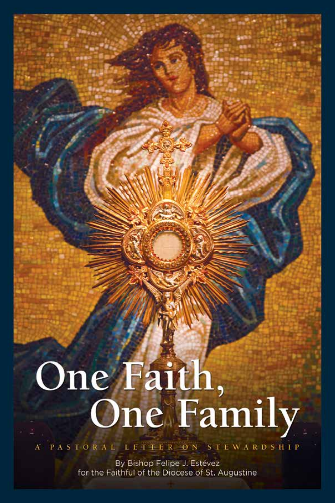# One Faith,<br>One Family

A PASTORAL LETTER ON STEWARDSHIP

By Bishop Felipe J. Estévez for the Faithful of the Diocese of St. Augustine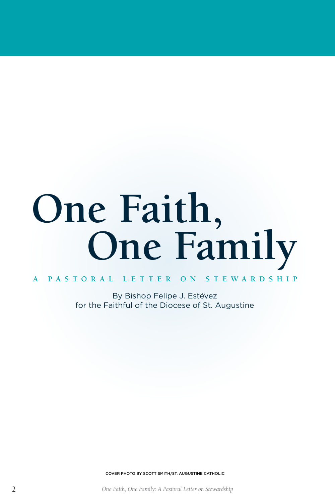# **One Faith, One Family**

**A PASTORAL LETTER ON STEWARDSHIP**

By Bishop Felipe J. Estévez for the Faithful of the Diocese of St. Augustine

COVER PHOTO BY SCOTT SMITH/ST. AUGUSTINE CATHOLIC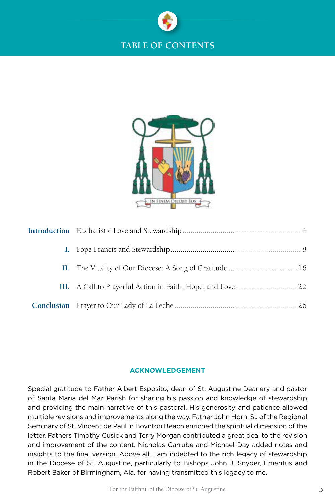



| II. The Vitality of Our Diocese: A Song of Gratitude  16 |  |
|----------------------------------------------------------|--|
|                                                          |  |
|                                                          |  |

### **ACKNOWLEDGEMENT**

Special gratitude to Father Albert Esposito, dean of St. Augustine Deanery and pastor of Santa Maria del Mar Parish for sharing his passion and knowledge of stewardship and providing the main narrative of this pastoral. His generosity and patience allowed multiple revisions and improvements along the way. Father John Horn, SJ of the Regional Seminary of St. Vincent de Paul in Boynton Beach enriched the spiritual dimension of the letter. Fathers Timothy Cusick and Terry Morgan contributed a great deal to the revision and improvement of the content. Nicholas Carrube and Michael Day added notes and insights to the final version. Above all, I am indebted to the rich legacy of stewardship in the Diocese of St. Augustine, particularly to Bishops John J. Snyder, Emeritus and Robert Baker of Birmingham, Ala. for having transmitted this legacy to me.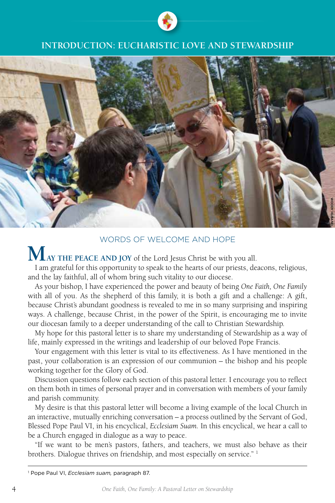

# **INTRODUCTION: EUCHARISTIC LOVE AND STEWARDSHIP**



### WORDS OF WELCOME AND HOPE

**MAY THE PEACE AND JOY** of the Lord Jesus Christ be with you all.

I am grateful for this opportunity to speak to the hearts of our priests, deacons, religious, and the lay faithful, all of whom bring such vitality to our diocese.

As your bishop, I have experienced the power and beauty of being *One Faith, One Family* with all of you. As the shepherd of this family, it is both a gift and a challenge: A gift, because Christ's abundant goodness is revealed to me in so many surprising and inspiring ways. A challenge, because Christ, in the power of the Spirit, is encouraging me to invite our diocesan family to a deeper understanding of the call to Christian Stewardship.

My hope for this pastoral letter is to share my understanding of Stewardship as a way of life, mainly expressed in the writings and leadership of our beloved Pope Francis.

Your engagement with this letter is vital to its effectiveness. As I have mentioned in the past, your collaboration is an expression of our communion – the bishop and his people working together for the Glory of God.

Discussion questions follow each section of this pastoral letter. I encourage you to reflect on them both in times of personal prayer and in conversation with members of your family and parish community.

My desire is that this pastoral letter will become a living example of the local Church in an interactive, mutually enriching conversation – a process outlined by the Servant of God, Blessed Pope Paul VI, in his encyclical, *Ecclesiam Suam.* In this encyclical, we hear a call to be a Church engaged in dialogue as a way to peace.

"If we want to be men's pastors, fathers, and teachers, we must also behave as their brothers. Dialogue thrives on friendship, and most especially on service."<sup>1</sup>

<sup>1</sup> Pope Paul VI, *Ecclesiam suam,* paragraph 87.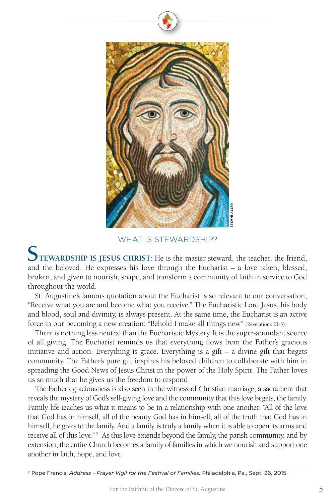

WHAT IS STEWARDSHIP?

**STEWARDSHIP IS JESUS CHRIST:** He is the master steward, the teacher, the friend, and the beloved. He expresses his love through the Eucharist – a love taken, blessed, broken, and given to nourish, shape, and transform a community of faith in service to God throughout the world.

St. Augustine's famous quotation about the Eucharist is so relevant to our conversation, "Receive what you are and become what you receive." The Eucharistic Lord Jesus, his body and blood, soul and divinity, is always present. At the same time, the Eucharist is an active force in our becoming a new creation: "Behold I make all things new" (Revelations 21:5).

There is nothing less neutral than the Eucharistic Mystery. It is the super-abundant source of all giving. The Eucharist reminds us that everything flows from the Father's gracious initiative and action. Everything is grace. Everything is a gift  $-$  a divine gift that begets community. The Father's pure gift inspires his beloved children to collaborate with him in spreading the Good News of Jesus Christ in the power of the Holy Spirit. The Father loves us so much that he gives us the freedom to respond.

The Father's graciousness is also seen in the witness of Christian marriage, a sacrament that reveals the mystery of God's self-giving love and the community that this love begets, the family. Family life teaches us what it means to be in a relationship with one another. "All of the love that God has in himself, all of the beauty God has in himself, all of the truth that God has in himself, he gives to the family. And a family is truly a family when it is able to open its arms and receive all of this love."<sup>2</sup> As this love extends beyond the family, the parish community, and by extension, the entire Church becomes a family of families in which we nourish and support one another in faith, hope, and love. <sup>22</sup><br>2 **Contains - Proper Francis,** Address - Prayer Vigil for the Festival of Families, Philosophen, and given to noticly, shape, and transform a community of faith in service throken, and given to noticly, shape, and tra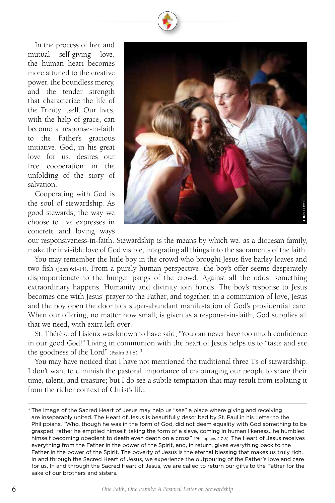In the process of free and mutual self-giving love, the human heart becomes more attuned to the creative power, the boundless mercy, and the tender strength that characterize the life of the Trinity itself. Our lives, with the help of grace, can become a response-in-faith to the Father's gracious initiative. God, in his great love for us, desires our free cooperation in the unfolding of the story of salvation.

Cooperating with God is the soul of stewardship. As good stewards, the way we choose to live expresses in concrete and loving ways



our responsiveness-in-faith. Stewardship is the means by which we, as a diocesan family, make the invisible love of God visible, integrating all things into the sacraments of the faith.

You may remember the little boy in the crowd who brought Jesus five barley loaves and two fish (John 6:1-14). From a purely human perspective, the boy's offer seems desperately disproportionate to the hunger pangs of the crowd. Against all the odds, something extraordinary happens. Humanity and divinity join hands. The boy's response to Jesus becomes one with Jesus' prayer to the Father, and together, in a communion of love, Jesus and the boy open the door to a super-abundant manifestation of God's providential care. When our offering, no matter how small, is given as a response-in-faith, God supplies all that we need, with extra left over!

St. Thérèse of Lisieux was known to have said, "You can never have too much confidence in our good God!" Living in communion with the heart of Jesus helps us to "taste and see the goodness of the Lord" (Psalm 34:8). 3

You may have noticed that I have not mentioned the traditional three T's of stewardship. I don't want to diminish the pastoral importance of encouraging our people to share their time, talent, and treasure; but I do see a subtle temptation that may result from isolating it from the richer context of Christ's life.

<sup>&</sup>lt;sup>3</sup> The image of the Sacred Heart of Jesus may help us "see" a place where giving and receiving are inseparably united. The Heart of Jesus is beautifully described by St. Paul in his Letter to the Philippians, "Who, though he was in the form of God, did not deem equality with God something to be grasped; rather he emptied himself, taking the form of a slave, coming in human likeness…he humbled himself becoming obedient to death even death on a cross" (Philippians 2:7-8). The Heart of Jesus receives everything from the Father in the power of the Spirit, and, in return, gives everything back to the Father in the power of the Spirit. The poverty of Jesus is the eternal blessing that makes us truly rich. In and through the Sacred Heart of Jesus, we experience the outpouring of the Father's love and care for us. In and through the Sacred Heart of Jesus, we are called to return our gifts to the Father for the sake of our brothers and sisters.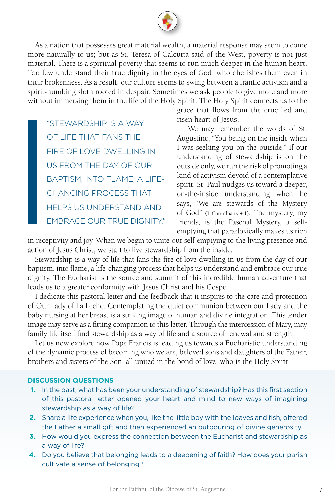As a nation that possesses great material wealth, a material response may seem to come more naturally to us; but as St. Teresa of Calcutta said of the West, poverty is not just material. There is a spiritual poverty that seems to run much deeper in the human heart. Too few understand their true dignity in the eyes of God, who cherishes them even in their brokenness. As a result, our culture seems to swing between a frantic activism and a spirit-numbing sloth rooted in despair. Sometimes we ask people to give more and more without immersing them in the life of the Holy Spirit. The Holy Spirit connects us to the

"STEWARDSHIP IS A WAY OF LIFE THAT FANS THE FIRE OF LOVE DWELLING IN US FROM THE DAY OF OUR BAPTISM, INTO FLAME, A LIFE-CHANGING PROCESS THAT HELPS US UNDERSTAND AND EMBRACE OUR TRUE DIGNITY." grace that flows from the crucified and risen heart of Jesus.

 We may remember the words of St. Augustine, "You being on the inside when I was seeking you on the outside." If our understanding of stewardship is on the outside only, we run the risk of promoting a kind of activism devoid of a contemplative spirit. St. Paul nudges us toward a deeper, on-the-inside understanding when he says, "We are stewards of the Mystery of God" (1 Corinthians 4:1). The mystery, my friends, is the Paschal Mystery, a selfemptying that paradoxically makes us rich

in receptivity and joy. When we begin to unite our self-emptying to the living presence and action of Jesus Christ, we start to live stewardship from the inside.

 Stewardship is a way of life that fans the fire of love dwelling in us from the day of our baptism, into flame, a life-changing process that helps us understand and embrace our true dignity. The Eucharist is the source and summit of this incredible human adventure that leads us to a greater conformity with Jesus Christ and his Gospel!

I dedicate this pastoral letter and the feedback that it inspires to the care and protection of Our Lady of La Leche. Contemplating the quiet communion between our Lady and the baby nursing at her breast is a striking image of human and divine integration. This tender image may serve as a fitting companion to this letter. Through the intercession of Mary, may family life itself find stewardship as a way of life and a source of renewal and strength.

Let us now explore how Pope Francis is leading us towards a Eucharistic understanding of the dynamic process of becoming who we are, beloved sons and daughters of the Father, brothers and sisters of the Son, all united in the bond of love, who is the Holy Spirit.

### **DISCUSSION QUESTIONS**

- **1.** In the past, what has been your understanding of stewardship? Has this first section of this pastoral letter opened your heart and mind to new ways of imagining stewardship as a way of life?
- **2.** Share a life experience when you, like the little boy with the loaves and fish, offered the Father a small gift and then experienced an outpouring of divine generosity.
- **3.** How would you express the connection between the Eucharist and stewardship as a way of life?
- **4.** Do you believe that belonging leads to a deepening of faith? How does your parish cultivate a sense of belonging?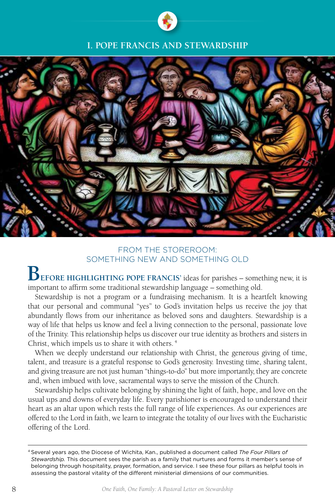

# **I. POPE FRANCIS AND STEWARDSHIP**



# FROM THE STOREROOM: SOMETHING NEW AND SOMETHING OLD

**BEFORE HIGHLIGHTING POPE FRANCIS'** ideas for parishes – something new, it is important to affirm some traditional stewardship language – something old.

Stewardship is not a program or a fundraising mechanism. It is a heartfelt knowing that our personal and communal "yes" to God's invitation helps us receive the joy that abundantly flows from our inheritance as beloved sons and daughters. Stewardship is a way of life that helps us know and feel a living connection to the personal, passionate love of the Trinity. This relationship helps us discover our true identity as brothers and sisters in Christ, which impels us to share it with others. 4

When we deeply understand our relationship with Christ, the generous giving of time, talent, and treasure is a grateful response to God's generosity. Investing time, sharing talent, and giving treasure are not just human "things-to-do" but more importantly, they are concrete and, when imbued with love, sacramental ways to serve the mission of the Church.

Stewardship helps cultivate belonging by shining the light of faith, hope, and love on the usual ups and downs of everyday life. Every parishioner is encouraged to understand their heart as an altar upon which rests the full range of life experiences. As our experiences are offered to the Lord in faith, we learn to integrate the totality of our lives with the Eucharistic offering of the Lord.

<sup>4</sup> Several years ago, the Diocese of Wichita, Kan., published a document called *The Four Pillars of Stewardship.* This document sees the parish as a family that nurtures and forms it member's sense of belonging through hospitality, prayer, formation, and service. I see these four pillars as helpful tools in assessing the pastoral vitality of the different ministerial dimensions of our communities.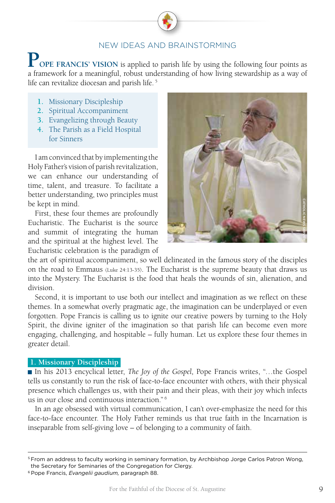# NEW IDEAS AND BRAINSTORMING

**POPE FRANCIS' VISION** is applied to parish life by using the following four points as a framework for a meaningful, robust understanding of how living stewardship as a way of life can revitalize diocesan and parish life.<sup>5</sup>

- **1.** Missionary Discipleship
- **2.** Spiritual Accompaniment
- **3.** Evangelizing through Beauty
- **4.** The Parish as a Field Hospital for Sinners

I am convinced that by implementing the Holy Father's vision of parish revitalization, we can enhance our understanding of time, talent, and treasure. To facilitate a better understanding, two principles must be kept in mind.

First, these four themes are profoundly Eucharistic. The Eucharist is the source and summit of integrating the human and the spiritual at the highest level. The Eucharistic celebration is the paradigm of



the art of spiritual accompaniment, so well delineated in the famous story of the disciples on the road to Emmaus (Luke 24:13-35). The Eucharist is the supreme beauty that draws us into the Mystery. The Eucharist is the food that heals the wounds of sin, alienation, and division.

Second, it is important to use both our intellect and imagination as we reflect on these themes. In a somewhat overly pragmatic age, the imagination can be underplayed or even forgotten. Pope Francis is calling us to ignite our creative powers by turning to the Holy Spirit, the divine igniter of the imagination so that parish life can become even more engaging, challenging, and hospitable – fully human. Let us explore these four themes in greater detail.

### **1. Missionary Discipleship**

■ In his 2013 encyclical letter, *The Joy of the Gospel*, Pope Francis writes, "...the Gospel tells us constantly to run the risk of face-to-face encounter with others, with their physical presence which challenges us, with their pain and their pleas, with their joy which infects us in our close and continuous interaction." 6

In an age obsessed with virtual communication, I can't over-emphasize the need for this face-to-face encounter. The Holy Father reminds us that true faith in the Incarnation is inseparable from self-giving love – of belonging to a community of faith.

<sup>&</sup>lt;sup>5</sup> From an address to faculty working in seminary formation, by Archbishop Jorge Carlos Patron Wong, the Secretary for Seminaries of the Congregation for Clergy.

<sup>6</sup> Pope Francis, *Evangelii gaudium,* paragraph 88.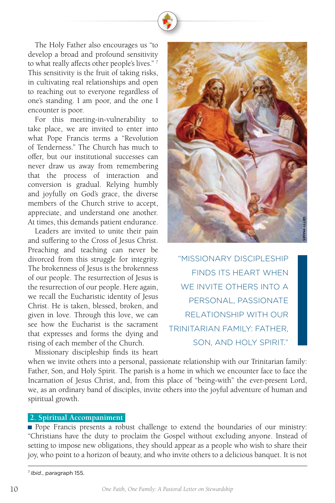The Holy Father also encourages us "to develop a broad and profound sensitivity to what really affects other people's lives."<sup>7</sup> This sensitivity is the fruit of taking risks, in cultivating real relationships and open to reaching out to everyone regardless of one's standing. I am poor, and the one I encounter is poor.

For this meeting-in-vulnerability to take place, we are invited to enter into what Pope Francis terms a "Revolution of Tenderness." The Church has much to offer, but our institutional successes can never draw us away from remembering that the process of interaction and conversion is gradual. Relying humbly and joyfully on God's grace, the diverse members of the Church strive to accept, appreciate, and understand one another. At times, this demands patient endurance.

Leaders are invited to unite their pain and suffering to the Cross of Jesus Christ. Preaching and teaching can never be divorced from this struggle for integrity. The brokenness of Jesus is the brokenness of our people. The resurrection of Jesus is the resurrection of our people. Here again, we recall the Eucharistic identity of Jesus Christ. He is taken, blessed, broken, and given in love. Through this love, we can see how the Eucharist is the sacrament that expresses and forms the dying and rising of each member of the Church.

Missionary discipleship finds its heart



 "MISSIONARY DISCIPLESHIP FINDS ITS HEART WHEN WE INVITE OTHERS INTO A PERSONAL, PASSIONATE RELATIONSHIP WITH OUR TRINITARIAN FAMILY: FATHER, SON, AND HOLY SPIRIT."

when we invite others into a personal, passionate relationship with our Trinitarian family: Father, Son, and Holy Spirit. The parish is a home in which we encounter face to face the Incarnation of Jesus Christ, and, from this place of "being-with" the ever-present Lord, we, as an ordinary band of disciples, invite others into the joyful adventure of human and spiritual growth.

### **2. Spiritual Accompaniment**

Pope Francis presents a robust challenge to extend the boundaries of our ministry: "Christians have the duty to proclaim the Gospel without excluding anyone. Instead of setting to impose new obligations, they should appear as a people who wish to share their joy, who point to a horizon of beauty, and who invite others to a delicious banquet. It is not

<sup>7</sup>*Ibid.*, paragraph 155.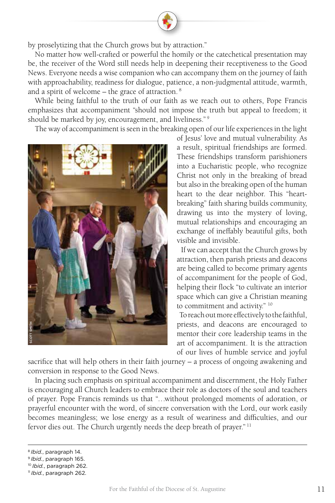by proselytizing that the Church grows but by attraction."

No matter how well-crafted or powerful the homily or the catechetical presentation may be, the receiver of the Word still needs help in deepening their receptiveness to the Good News. Everyone needs a wise companion who can accompany them on the journey of faith with approachability, readiness for dialogue, patience, a non-judgmental attitude, warmth, and a spirit of welcome – the grace of attraction. 8

While being faithful to the truth of our faith as we reach out to others, Pope Francis emphasizes that accompaniment "should not impose the truth but appeal to freedom; it should be marked by joy, encouragement, and liveliness."<sup>9</sup>

The way of accompaniment is seen in the breaking open of our life experiences in the light



of Jesus' love and mutual vulnerability. As a result, spiritual friendships are formed. These friendships transform parishioners into a Eucharistic people, who recognize Christ not only in the breaking of bread but also in the breaking open of the human heart to the dear neighbor. This "heartbreaking" faith sharing builds community, drawing us into the mystery of loving, mutual relationships and encouraging an exchange of ineffably beautiful gifts, both visible and invisible.

 If we can accept that the Church grows by attraction, then parish priests and deacons are being called to become primary agents of accompaniment for the people of God, helping their flock "to cultivate an interior space which can give a Christian meaning to commitment and activity." 10

 To reach out more effectively to the faithful, priests, and deacons are encouraged to mentor their core leadership teams in the art of accompaniment. It is the attraction of our lives of humble service and joyful

sacrifice that will help others in their faith journey – a process of ongoing awakening and conversion in response to the Good News.

In placing such emphasis on spiritual accompaniment and discernment, the Holy Father is encouraging all Church leaders to embrace their role as doctors of the soul and teachers of prayer. Pope Francis reminds us that "…without prolonged moments of adoration, or prayerful encounter with the word, of sincere conversation with the Lord, our work easily becomes meaningless; we lose energy as a result of weariness and difficulties, and our fervor dies out. The Church urgently needs the deep breath of prayer."<sup>11</sup> Examples and the same of the same of the same of the same of prayer. Pope Francisco<br>prayer and the same of prayer and the same of the same of the same of the small fervor dies out. The same of the same of the same of the s

<sup>8</sup>*Ibid.*, paragraph 14.

<sup>9</sup>*Ibid.*, paragraph 165.

<sup>10</sup>*Ibid.*, paragraph 262.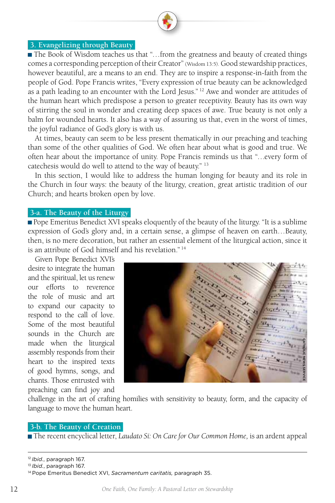### **3. Evangelizing through Beauty**

■ The Book of Wisdom teaches us that "...from the greatness and beauty of created things comes a corresponding perception of their Creator" (Wisdom 13:5). Good stewardship practices, however beautiful, are a means to an end. They are to inspire a response-in-faith from the people of God. Pope Francis writes, "Every expression of true beauty can be acknowledged as a path leading to an encounter with the Lord Jesus."  $12$  Awe and wonder are attitudes of the human heart which predispose a person to greater receptivity. Beauty has its own way of stirring the soul in wonder and creating deep spaces of awe. True beauty is not only a balm for wounded hearts. It also has a way of assuring us that, even in the worst of times, the joyful radiance of God's glory is with us.

At times, beauty can seem to be less present thematically in our preaching and teaching than some of the other qualities of God. We often hear about what is good and true. We often hear about the importance of unity. Pope Francis reminds us that "…every form of catechesis would do well to attend to the way of beauty." 13

In this section, I would like to address the human longing for beauty and its role in the Church in four ways: the beauty of the liturgy, creation, great artistic tradition of our Church; and hearts broken open by love.

### **3-a. The Beauty of the Liturgy**

Pope Emeritus Benedict XVI speaks eloquently of the beauty of the liturgy. "It is a sublime expression of God's glory and, in a certain sense, a glimpse of heaven on earth…Beauty, then, is no mere decoration, but rather an essential element of the liturgical action, since it is an attribute of God himself and his revelation." 14

Given Pope Benedict XVI's desire to integrate the human and the spiritual, let us renew our efforts to reverence the role of music and art to expand our capacity to respond to the call of love. Some of the most beautiful sounds in the Church are made when the liturgical assembly responds from their heart to the inspired texts of good hymns, songs, and chants. Those entrusted with preaching can find joy and



challenge in the art of crafting homilies with sensitivity to beauty, form, and the capacity of language to move the human heart.

### **3-b. The Beauty of Creation**

The recent encyclical letter, *Laudato Sí: On Care for Our Common Home,* is an ardent appeal

<sup>12</sup>*Ibid.*, paragraph 167.

<sup>13</sup>*Ibid.*, paragraph 167.

<sup>14</sup> Pope Emeritus Benedict XVI, *Sacramentum caritatis,* paragraph 35.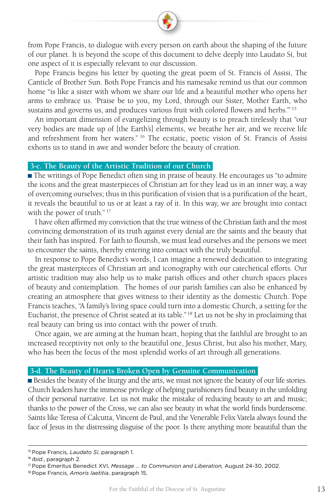from Pope Francis, to dialogue with every person on earth about the shaping of the future of our planet. It is beyond the scope of this document to delve deeply into Laudato Sí, but one aspect of it is especially relevant to our discussion.

Pope Francis begins his letter by quoting the great poem of St. Francis of Assisi, The Canticle of Brother Sun. Both Pope Francis and his namesake remind us that our common home "is like a sister with whom we share our life and a beautiful mother who opens her arms to embrace us. 'Praise be to you, my Lord, through our Sister, Mother Earth, who sustains and governs us, and produces various fruit with colored flowers and herbs."<sup>15</sup>

An important dimension of evangelizing through beauty is to preach tirelessly that "our very bodies are made up of [the Earth's] elements, we breathe her air, and we receive life and refreshment from her waters." 16 The ecstatic, poetic vision of St. Francis of Assisi exhorts us to stand in awe and wonder before the beauty of creation.

### **3-c. The Beauty of the Artistic Tradition of our Church**

The writings of Pope Benedict often sing in praise of beauty. He encourages us "to admire the icons and the great masterpieces of Christian art for they lead us in an inner way, a way of overcoming ourselves; thus in this purification of vision that is a purification of the heart, it reveals the beautiful to us or at least a ray of it. In this way, we are brought into contact with the power of truth."<sup>17</sup>

I have often affirmed my conviction that the true witness of the Christian faith and the most convincing demonstration of its truth against every denial are the saints and the beauty that their faith has inspired. For faith to flourish, we must lead ourselves and the persons we meet to encounter the saints, thereby entering into contact with the truly beautiful.

In response to Pope Benedict's words, I can imagine a renewed dedication to integrating the great masterpieces of Christian art and iconography with our catechetical efforts. Our artistic tradition may also help us to make parish offices and other church spaces places of beauty and contemplation. The homes of our parish families can also be enhanced by creating an atmosphere that gives witness to their identity as the domestic Church. Pope Francis teaches, "A family's living space could turn into a domestic Church, a setting for the Eucharist, the presence of Christ seated at its table." 18 Let us not be shy in proclaiming that real beauty can bring us into contact with the power of truth.

Once again, we are aiming at the human heart, hoping that the faithful are brought to an increased receptivity not only to the beautiful one, Jesus Christ, but also his mother, Mary, who has been the focus of the most splendid works of art through all generations.

### **3-d. The Beauty of Hearts Broken Open by Genuine Communication**

Besides the beauty of the liturgy and the arts, we must not ignore the beauty of our life stories. Church leaders have the immense privilege of helping parishioners find beauty in the unfolding of their personal narrative. Let us not make the mistake of reducing beauty to art and music; thanks to the power of the Cross, we can also see beauty in what the world finds burdensome. Saints like Teresa of Calcutta, Vincent de Paul, and the Venerable Felix Varela always found the face of Jesus in the distressing disguise of the poor. Is there anything more beautiful than the

<sup>15</sup> Pope Francis, *Laudato Sí*, paragraph 1.

<sup>16</sup>*Ibid.*, paragraph 2.

<sup>17</sup> Pope Emeritus Benedict XVI, *Message … to Communion and Liberation,* August 24-30, 2002.

<sup>18</sup> Pope Francis, *Amoris laetitia*, paragraph 15.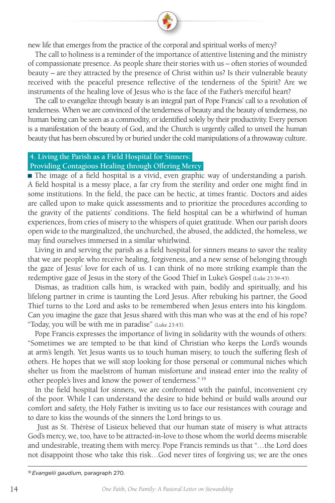new life that emerges from the practice of the corporal and spiritual works of mercy?

The call to holiness is a reminder of the importance of attentive listening and the ministry of compassionate presence. As people share their stories with us – often stories of wounded beauty – are they attracted by the presence of Christ within us? Is their vulnerable beauty received with the peaceful presence reflective of the tenderness of the Spirit? Are we instruments of the healing love of Jesus who is the face of the Father's merciful heart?

The call to evangelize through beauty is an integral part of Pope Francis' call to a revolution of tenderness. When we are convinced of the tenderness of beauty and the beauty of tenderness, no human being can be seen as a commodity, or identified solely by their productivity. Every person is a manifestation of the beauty of God, and the Church is urgently called to unveil the human beauty that has been obscured by or buried under the cold manipulations of a throwaway culture.

### **4. Living the Parish as a Field Hospital for Sinners:**

### **Providing Contagious Healing through Offering Mercy**

The image of a field hospital is a vivid, even graphic way of understanding a parish. A field hospital is a messy place, a far cry from the sterility and order one might find in some institutions. In the field, the pace can be hectic, at times frantic. Doctors and aides are called upon to make quick assessments and to prioritize the procedures according to the gravity of the patients' conditions. The field hospital can be a whirlwind of human experiences, from cries of misery to the whispers of quiet gratitude. When our parish doors open wide to the marginalized, the unchurched, the abused, the addicted, the homeless, we may find ourselves immersed in a similar whirlwind.

Living in and serving the parish as a field hospital for sinners means to savor the reality that we are people who receive healing, forgiveness, and a new sense of belonging through the gaze of Jesus' love for each of us. I can think of no more striking example than the redemptive gaze of Jesus in the story of the Good Thief in Luke's Gospel (Luke 23:39-43).

Dismas, as tradition calls him, is wracked with pain, bodily and spiritually, and his lifelong partner in crime is taunting the Lord Jesus. After rebuking his partner, the Good Thief turns to the Lord and asks to be remembered when Jesus enters into his kingdom. Can you imagine the gaze that Jesus shared with this man who was at the end of his rope? "Today, you will be with me in paradise" (Luke 23:43).

Pope Francis expresses the importance of living in solidarity with the wounds of others: "Sometimes we are tempted to be that kind of Christian who keeps the Lord's wounds at arm's length. Yet Jesus wants us to touch human misery, to touch the suffering flesh of others. He hopes that we will stop looking for those personal or communal niches which shelter us from the maelstrom of human misfortune and instead enter into the reality of other people's lives and know the power of tenderness." 19

In the field hospital for sinners, we are confronted with the painful, inconvenient cry of the poor. While I can understand the desire to hide behind or build walls around our comfort and safety, the Holy Father is inviting us to face our resistances with courage and to dare to kiss the wounds of the sinners the Lord brings to us.

 Just as St. Thérèse of Lisieux believed that our human state of misery is what attracts God's mercy, we, too, have to be attracted-in-love to those whom the world deems miserable and undesirable, treating them with mercy. Pope Francis reminds us that "…the Lord does not disappoint those who take this risk…God never tires of forgiving us; we are the ones

<sup>19</sup> *Evangelii gaudium,* paragraph 270.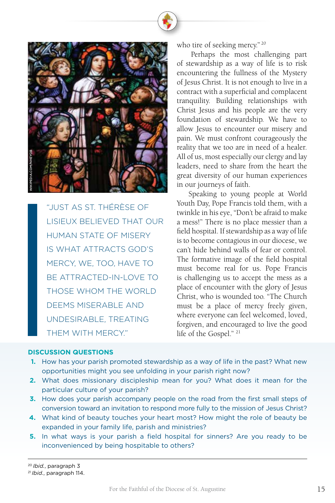

"JUST AS ST. THÉRÈSE OF LISIEUX BELIEVED THAT OUR HUMAN STATE OF MISERY IS WHAT ATTRACTS GOD'S MERCY, WE, TOO, HAVE TO BE ATTRACTED-IN-LOVE TO THOSE WHOM THE WORLD DEEMS MISERABLE AND UNDESIRABLE, TREATING THEM WITH MERCY."

who tire of seeking mercy."<sup>20</sup>

 Perhaps the most challenging part of stewardship as a way of life is to risk encountering the fullness of the Mystery of Jesus Christ. It is not enough to live in a contract with a superficial and complacent tranquility. Building relationships with Christ Jesus and his people are the very foundation of stewardship. We have to allow Jesus to encounter our misery and pain. We must confront courageously the reality that we too are in need of a healer. All of us, most especially our clergy and lay leaders, need to share from the heart the great diversity of our human experiences in our journeys of faith.

 Speaking to young people at World Youth Day, Pope Francis told them, with a twinkle in his eye, "Don't be afraid to make a mess!" There is no place messier than a field hospital. If stewardship as a way of life is to become contagious in our diocese, we can't hide behind walls of fear or control. The formative image of the field hospital must become real for us. Pope Francis is challenging us to accept the mess as a place of encounter with the glory of Jesus Christ, who is wounded too. "The Church must be a place of mercy freely given, where everyone can feel welcomed, loved, forgiven, and encouraged to live the good life of the Gospel." 21

### **DISCUSSION QUESTIONS**

- **1.** How has your parish promoted stewardship as a way of life in the past? What new opportunities might you see unfolding in your parish right now?
- **2.** What does missionary discipleship mean for you? What does it mean for the particular culture of your parish?
- **3.** How does your parish accompany people on the road from the first small steps of conversion toward an invitation to respond more fully to the mission of Jesus Christ?
- **4.** What kind of beauty touches your heart most? How might the role of beauty be expanded in your family life, parish and ministries?
- **5.** In what ways is your parish a field hospital for sinners? Are you ready to be inconvenienced by being hospitable to others?

### <sup>21</sup>*Ibid.*, paragraph 114.

<sup>20</sup>*Ibid.*, paragraph 3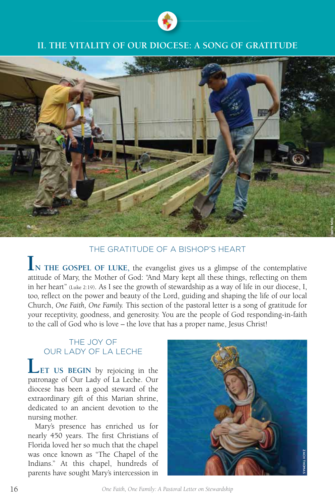

# **II. THE VITALITY OF OUR DIOCESE: A SONG OF GRATITUDE**



# THE GRATITUDE OF A BISHOP'S HEART

**IN THE GOSPEL OF LUKE,** the evangelist gives us a glimpse of the contemplative attitude of Mary, the Mother of God: "And Mary kept all these things, reflecting on them in her heart" (Luke 2:19). As I see the growth of stewardship as a way of life in our diocese, I, too, reflect on the power and beauty of the Lord, guiding and shaping the life of our local Church, *One Faith, One Family.* This section of the pastoral letter is a song of gratitude for your receptivity, goodness, and generosity. You are the people of God responding-in-faith to the call of God who is love – the love that has a proper name, Jesus Christ!

# THE JOY OF OUR LADY OF LA LECHE

**LET US BEGIN** by rejoicing in the patronage of Our Lady of La Leche. Our diocese has been a good steward of the extraordinary gift of this Marian shrine, dedicated to an ancient devotion to the nursing mother.

Mary's presence has enriched us for nearly 450 years. The first Christians of Florida loved her so much that the chapel was once known as "The Chapel of the Indians." At this chapel, hundreds of parents have sought Mary's intercession in



16 *One Faith, One Family: A Pastoral Letter on Stewardship*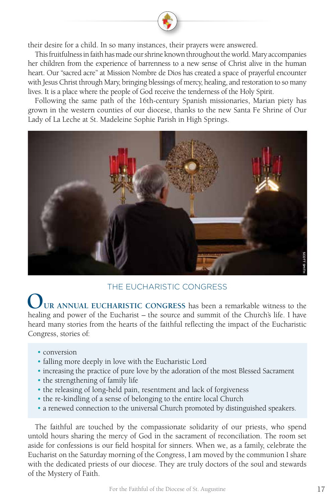their desire for a child. In so many instances, their prayers were answered.

This fruitfulness in faith has made our shrine known throughout the world. Mary accompanies her children from the experience of barrenness to a new sense of Christ alive in the human heart. Our "sacred acre" at Mission Nombre de Dios has created a space of prayerful encounter with Jesus Christ through Mary, bringing blessings of mercy, healing, and restoration to so many lives. It is a place where the people of God receive the tenderness of the Holy Spirit.

Following the same path of the 16th-century Spanish missionaries, Marian piety has grown in the western counties of our diocese, thanks to the new Santa Fe Shrine of Our Lady of La Leche at St. Madeleine Sophie Parish in High Springs.



# THE EUCHARISTIC CONGRESS

**OUR ANNUAL EUCHARISTIC CONGRESS** has been a remarkable witness to the healing and power of the Eucharist – the source and summit of the Church's life. I have heard many stories from the hearts of the faithful reflecting the impact of the Eucharistic Congress, stories of:

- conversion
- falling more deeply in love with the Eucharistic Lord
- increasing the practice of pure love by the adoration of the most Blessed Sacrament
- the strengthening of family life
- the releasing of long-held pain, resentment and lack of forgiveness
- the re-kindling of a sense of belonging to the entire local Church
- a renewed connection to the universal Church promoted by distinguished speakers.

The faithful are touched by the compassionate solidarity of our priests, who spend untold hours sharing the mercy of God in the sacrament of reconciliation. The room set aside for confessions is our field hospital for sinners. When we, as a family, celebrate the Eucharist on the Saturday morning of the Congress, I am moved by the communion I share with the dedicated priests of our diocese. They are truly doctors of the soul and stewards of the Mystery of Faith.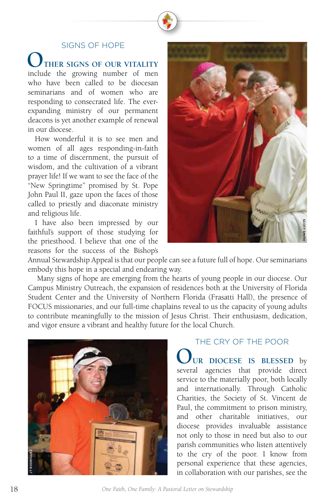### SIGNS OF HOPE

THER SIGNS OF OUR VITALITY include the growing number of men who have been called to be diocesan seminarians and of women who are responding to consecrated life. The everexpanding ministry of our permanent deacons is yet another example of renewal in our diocese.

How wonderful it is to see men and women of all ages responding-in-faith to a time of discernment, the pursuit of wisdom, and the cultivation of a vibrant prayer life! If we want to see the face of the "New Springtime" promised by St. Pope John Paul II, gaze upon the faces of those called to priestly and diaconate ministry and religious life.

I have also been impressed by our faithful's support of those studying for the priesthood. I believe that one of the reasons for the success of the Bishop's



Annual Stewardship Appeal is that our people can see a future full of hope. Our seminarians embody this hope in a special and endearing way.

 Many signs of hope are emerging from the hearts of young people in our diocese. Our Campus Ministry Outreach, the expansion of residences both at the University of Florida Student Center and the University of Northern Florida (Frasatti Hall), the presence of FOCUS missionaries, and our full-time chaplains reveal to us the capacity of young adults to contribute meaningfully to the mission of Jesus Christ. Their enthusiasm, dedication, and vigor ensure a vibrant and healthy future for the local Church.



# THE CRY OF THE POOR

UR DIOCESE IS BLESSED by several agencies that provide direct service to the materially poor, both locally and internationally. Through Catholic Charities, the Society of St. Vincent de Paul, the commitment to prison ministry, and other charitable initiatives, our diocese provides invaluable assistance not only to those in need but also to our parish communities who listen attentively to the cry of the poor. I know from personal experience that these agencies, France and the state of the particle and the state of the state of state of solven in Florida (Frasatti Hall), the presence of s reveal to us the capacity of young adults sus Christ. Their enthusiasm, dedication, the local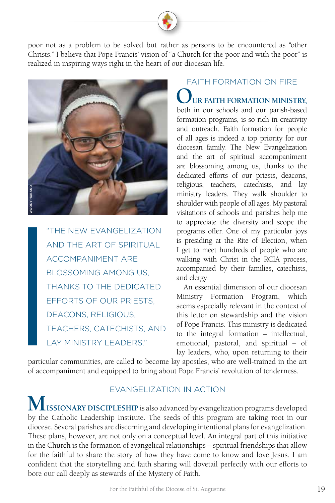poor not as a problem to be solved but rather as persons to be encountered as "other Christs." I believe that Pope Francis' vision of "a Church for the poor and with the poor" is realized in inspiring ways right in the heart of our diocesan life.



"THE NEW EVANGELIZATION AND THE ART OF SPIRITUAL ACCOMPANIMENT ARE BLOSSOMING AMONG US, THANKS TO THE DEDICATED EFFORTS OF OUR PRIESTS, DEACONS, RELIGIOUS, TEACHERS, CATECHISTS, AND LAY MINISTRY LEADERS."

# FAITH FORMATION ON FIRE **OUR FAITH FORMATION MINISTRY,** both in our schools and our parish-based formation programs, is so rich in creativity and outreach. Faith formation for people of all ages is indeed a top priority for our diocesan family. The New Evangelization and the art of spiritual accompaniment are blossoming among us, thanks to the dedicated efforts of our priests, deacons, religious, teachers, catechists, and lay ministry leaders. They walk shoulder to shoulder with people of all ages. My pastoral visitations of schools and parishes help me to appreciate the diversity and scope the

programs offer. One of my particular joys is presiding at the Rite of Election, when I get to meet hundreds of people who are walking with Christ in the RCIA process, accompanied by their families, catechists, and clergy.

 An essential dimension of our diocesan Ministry Formation Program, which seems especially relevant in the context of this letter on stewardship and the vision of Pope Francis. This ministry is dedicated to the integral formation – intellectual, emotional, pastoral, and spiritual – of lay leaders, who, upon returning to their

particular communities, are called to become lay apostles, who are well-trained in the art of accompaniment and equipped to bring about Pope Francis' revolution of tenderness.

# EVANGELIZATION IN ACTION

**MISSIONARY DISCIPLESHIP** is also advanced by evangelization programs developed by the Catholic Leadership Institute. The seeds of this program are taking root in our diocese. Several parishes are discerning and developing intentional plans for evangelization. These plans, however, are not only on a conceptual level. An integral part of this initiative in the Church is the formation of evangelical relationships – spiritual friendships that allow for the faithful to share the story of how they have come to know and love Jesus. I am confident that the storytelling and faith sharing will dovetail perfectly with our efforts to bore our call deeply as stewards of the Mystery of Faith.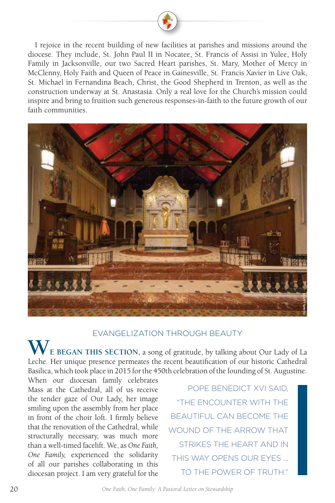

I rejoice in the recent building of new facilities at parishes and missions around the diocese. They include, St. John Paul II in Nocatee, St. Francis of Assisi in Yulee, Holy Family in Jacksonville, our two Sacred Heart parishes, St. Mary, Mother of Mercy in McClenny, Holy Faith and Queen of Peace in Gainesville, St. Francis Xavier in Live Oak, St. Michael in Fernandina Beach, Christ, the Good Shepherd in Trenton, as well as the construction underway at St. Anastasia. Only a real love for the Church's mission could inspire and bring to fruition such generous responses-in-faith to the future growth of our faith communities.



# EVANGELIZATION THROUGH BEAUTY

**WE BEGAN THIS SECTION,** a song of gratitude, by talking about Our Lady of La Leche. Her unique presence permeates the recent beautification of our historic Cathedral Basilica, which took place in 2015 for the 450th celebration of the founding of St. Augustine.

When our diocesan family celebrates Mass at the Cathedral, all of us receive the tender gaze of Our Lady, her image smiling upon the assembly from her place in front of the choir loft. I firmly believe that the renovation of the Cathedral, while structurally necessary, was much more than a well-timed facelift. We, as *One Faith, One Family,* experienced the solidarity of all our parishes collaborating in this diocesan project. I am very grateful for the

POPE BENEDICT XVI SAID, "THE ENCOUNTER WITH THE BEAUTIFUL CAN BECOME THE WOUND OF THE ARROW THAT STRIKES THE HEART AND IN THIS WAY OPENS OUR EYES … TO THE POWER OF TRUTH."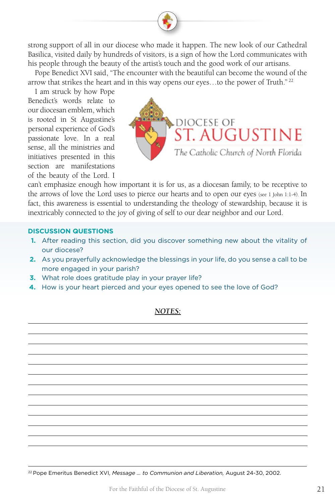strong support of all in our diocese who made it happen. The new look of our Cathedral Basilica, visited daily by hundreds of visitors, is a sign of how the Lord communicates with his people through the beauty of the artist's touch and the good work of our artisans.

Pope Benedict XVI said, "The encounter with the beautiful can become the wound of the arrow that strikes the heart and in this way opens our eyes...to the power of Truth."<sup>22</sup>

I am struck by how Pope Benedict's words relate to our diocesan emblem, which is rooted in St Augustine's personal experience of God's passionate love. In a real sense, all the ministries and initiatives presented in this section are manifestations of the beauty of the Lord. I



can't emphasize enough how important it is for us, as a diocesan family, to be receptive to the arrows of love the Lord uses to pierce our hearts and to open our eyes (see 1 John 1:1-4). In fact, this awareness is essential to understanding the theology of stewardship, because it is inextricably connected to the joy of giving of self to our dear neighbor and our Lord.

### **DISCUSSION QUESTIONS**

- **1.** After reading this section, did you discover something new about the vitality of our diocese?
- **2.** As you prayerfully acknowledge the blessings in your life, do you sense a call to be more engaged in your parish?
- **3.** What role does gratitude play in your prayer life?
- **4.** How is your heart pierced and your eyes opened to see the love of God?

### *NOTES:*

22 Pope Emeritus Benedict XVI, *Message … to Communion and Liberation,* August 24-30, 2002.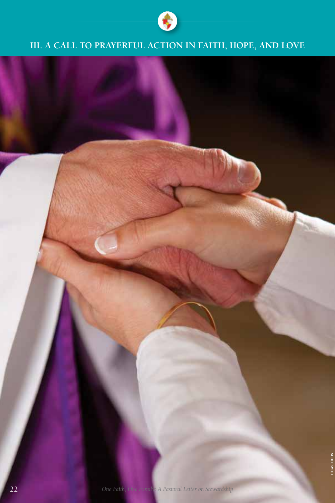

# **III. A CALL TO PRAYERFUL ACTION IN FAITH, HOPE, AND LOVE**

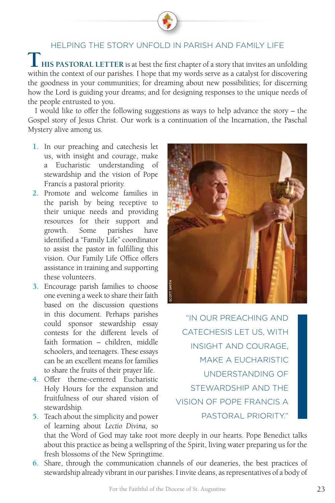# HELPING THE STORY UNFOLD IN PARISH AND FAMILY LIFE **I** HIS PASTORAL LETTER is at best the first chapter of a story that invites an unfolding within the context of our parishes. I hope that my words serve as a catalyst for discovering the goodness in your communities; for dreaming about new possibilities; for discerning how the Lord is guiding your dreams; and for designing responses to the unique needs of the people entrusted to you.

I would like to offer the following suggestions as ways to help advance the story – the Gospel story of Jesus Christ. Our work is a continuation of the Incarnation, the Paschal Mystery alive among us.

- **1.** In our preaching and catechesis let us, with insight and courage, make a Eucharistic understanding of stewardship and the vision of Pope Francis a pastoral priority.
- **2.** Promote and welcome families in the parish by being receptive to their unique needs and providing resources for their support and growth. Some parishes have identified a "Family Life" coordinator to assist the pastor in fulfilling this vision. Our Family Life Office offers assistance in training and supporting these volunteers.
- **3.** Encourage parish families to choose one evening a week to share their faith based on the discussion questions in this document. Perhaps parishes could sponsor stewardship essay contests for the different levels of faith formation – children, middle schoolers, and teenagers. These essays can be an excellent means for families to share the fruits of their prayer life.
- **4.** Offer theme-centered Eucharistic Holy Hours for the expansion and fruitfulness of our shared vision of stewardship.
- **5.** Teach about the simplicity and power of learning about *Lectio Divina,* so that the Word of God may take root more deeply in our hearts. Pope Benedict talks about this practice as being a wellspring of the Spirit, living water preparing us for the fresh blossoms of the New Springtime.
- **6.** Share, through the communication channels of our deaneries, the best practices of stewardship already vibrant in our parishes. I invite deans, as representatives of a body of



"IN OUR PREACHING AND CATECHESIS LET US, WITH INSIGHT AND COURAGE, MAKE A EUCHARISTIC UNDERSTANDING OF STEWARDSHIP AND THE VISION OF POPE FRANCIS A PASTORAL PRIORITY."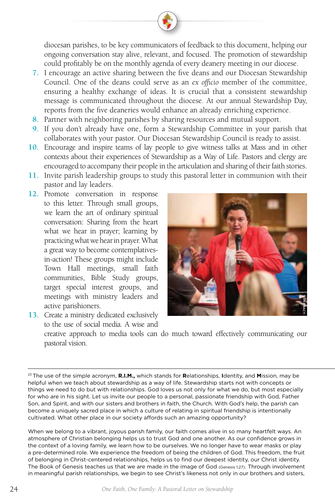diocesan parishes, to be key communicators of feedback to this document, helping our ongoing conversation stay alive, relevant, and focused. The promotion of stewardship could profitably be on the monthly agenda of every deanery meeting in our diocese.

- **7.** I encourage an active sharing between the five deans and our Diocesan Stewardship Council. One of the deans could serve as an *ex officio* member of the committee, ensuring a healthy exchange of ideas. It is crucial that a consistent stewardship message is communicated throughout the diocese. At our annual Stewardship Day, reports from the five deaneries would enhance an already enriching experience.
- **8.** Partner with neighboring parishes by sharing resources and mutual support.
- **9.** If you don't already have one, form a Stewardship Committee in your parish that collaborates with your pastor. Our Diocesan Stewardship Council is ready to assist.
- **10.** Encourage and inspire teams of lay people to give witness talks at Mass and in other contexts about their experiences of Stewardship as a Way of Life. Pastors and clergy are encouraged to accompany their people in the articulation and sharing of their faith stories.
- **11.** Invite parish leadership groups to study this pastoral letter in communion with their pastor and lay leaders.
- **12.** Promote conversation in response to this letter. Through small groups, we learn the art of ordinary spiritual conversation: Sharing from the heart what we hear in prayer; learning by practicing what we hear in prayer. What a great way to become contemplativesin-action! These groups might include Town Hall meetings, small faith communities, Bible Study groups, target special interest groups, and meetings with ministry leaders and active parishioners.



**13.** Create a ministry dedicated exclusively to the use of social media. A wise and creative approach to media tools can do much toward effectively communicating our pastoral vision.

<sup>23</sup> The use of the simple acronym, **R.I.M.,** which stands for **R**elationships, **I**dentity, and **M**ission, may be helpful when we teach about stewardship as a way of life. Stewardship starts not with concepts or things we need to do but with relationships. God loves us not only for what we do, but most especially for who are in his sight. Let us invite our people to a personal, passionate friendship with God, Father Son, and Spirit, and with our sisters and brothers in faith, the Church. With God's help, the parish can become a uniquely sacred place in which a culture of relating in spiritual friendship is intentionally cultivated. What other place in our society affords such an amazing opportunity? in meatings with ministry leaders and<br>
in Create a ministry dedicated exclusively<br>
to the use of social media. A wise and<br>
creative approach to media tools can do much toward effectively communicating our<br>
parison, may be<br>

When we belong to a vibrant, joyous parish family, our faith comes alive in so many heartfelt ways. An atmosphere of Christian belonging helps us to trust God and one another. As our confidence grows in the context of a loving family, we learn how to be ourselves. We no longer have to wear masks or play a pre-determined role. We experience the freedom of being the children of God. This freedom, the fruit of belonging in Christ-centered relationships, helps us to find our deepest identity, our Christ identity. The Book of Genesis teaches us that we are made in the image of God (Genesis 1:27). Through involvement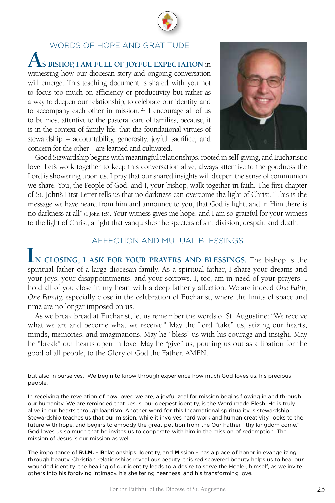# WORDS OF HOPE AND GRATITUDE  $\bigwedge$ s bishop, i am full of joyful expectation in witnessing how our diocesan story and ongoing conversation will emerge. This teaching document is shared with you not to focus too much on efficiency or productivity but rather as a way to deepen our relationship, to celebrate our identity, and to accompany each other in mission.<sup>23</sup> I encourage all of us to be most attentive to the pastoral care of families, because, it is in the context of family life, that the foundational virtues of

stewardship – accountability, generosity, joyful sacrifice, and

concern for the other – are learned and cultivated.



Good Stewardship begins with meaningful relationships, rooted in self-giving, and Eucharistic love. Let's work together to keep this conversation alive, always attentive to the goodness the Lord is showering upon us. I pray that our shared insights will deepen the sense of communion we share. You, the People of God, and I, your bishop, walk together in faith. The first chapter of St. John's First Letter tells us that no darkness can overcome the light of Christ. "This is the message we have heard from him and announce to you, that God is light, and in Him there is no darkness at all" (1 John 1:5). Your witness gives me hope, and I am so grateful for your witness to the light of Christ, a light that vanquishes the specters of sin, division, despair, and death.

### AFFECTION AND MUTUAL BLESSINGS

**IN CLOSING, I ASK FOR YOUR PRAYERS AND BLESSINGS.** The bishop is the spiritual father of a large diocesan family. As a spiritual father, I share your dreams and your joys, your disappointments, and your sorrows. I, too, am in need of your prayers. I hold all of you close in my heart with a deep fatherly affection. We are indeed *One Faith, One Family,* especially close in the celebration of Eucharist, where the limits of space and time are no longer imposed on us.

As we break bread at Eucharist, let us remember the words of St. Augustine: "We receive what we are and become what we receive." May the Lord "take" us, seizing our hearts, minds, memories, and imaginations. May he "bless" us with his courage and insight. May he "break" our hearts open in love. May he "give" us, pouring us out as a libation for the good of all people, to the Glory of God the Father. AMEN.

but also in ourselves. We begin to know through experience how much God loves us, his precious people.

In receiving the revelation of how loved we are, a joyful zeal for mission begins flowing in and through our humanity. We are reminded that Jesus, our deepest identity, is the Word made Flesh. He is truly alive in our hearts through baptism. Another word for this Incarnational spirituality is stewardship. Stewardship teaches us that our mission, while it involves hard work and human creativity, looks to the future with hope, and begins to embody the great petition from the Our Father, "thy kingdom come." God loves us so much that he invites us to cooperate with him in the mission of redemption. The mission of Jesus is our mission as well.

The importance of **R.I.M.** – **R**elationships, **I**dentity, and **M**ission – has a place of honor in evangelizing through beauty. Christian relationships reveal our beauty; this rediscovered beauty helps us to heal our wounded identity; the healing of our identity leads to a desire to serve the Healer, himself, as we invite others into his forgiving intimacy, his sheltering nearness, and his transforming love.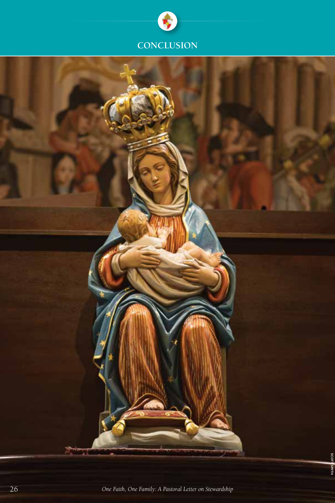